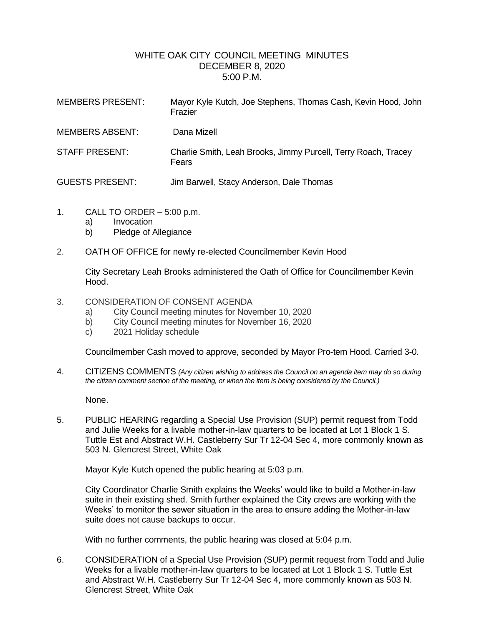## WHITE OAK CITY COUNCIL MEETING MINUTES DECEMBER 8, 2020 5:00 P.M.

| <b>MEMBERS PRESENT:</b> | Mayor Kyle Kutch, Joe Stephens, Thomas Cash, Kevin Hood, John<br>Frazier |
|-------------------------|--------------------------------------------------------------------------|
| <b>MEMBERS ABSENT:</b>  | Dana Mizell                                                              |
| <b>STAFF PRESENT:</b>   | Charlie Smith, Leah Brooks, Jimmy Purcell, Terry Roach, Tracey<br>Fears  |
| <b>GUESTS PRESENT:</b>  | Jim Barwell, Stacy Anderson, Dale Thomas                                 |

- 1. CALL TO ORDER 5:00 p.m.
	- a) Invocation
	- b) Pledge of Allegiance
- 2. OATH OF OFFICE for newly re-elected Councilmember Kevin Hood

City Secretary Leah Brooks administered the Oath of Office for Councilmember Kevin Hood.

- 3. CONSIDERATION OF CONSENT AGENDA
	- a) City Council meeting minutes for November 10, 2020
	- b) City Council meeting minutes for November 16, 2020
	- c) 2021 Holiday schedule

Councilmember Cash moved to approve, seconded by Mayor Pro-tem Hood. Carried 3-0.

4. CITIZENS COMMENTS *(Any citizen wishing to address the Council on an agenda item may do so during the citizen comment section of the meeting, or when the item is being considered by the Council.)*

None.

5. PUBLIC HEARING regarding a Special Use Provision (SUP) permit request from Todd and Julie Weeks for a livable mother-in-law quarters to be located at Lot 1 Block 1 S. Tuttle Est and Abstract W.H. Castleberry Sur Tr 12-04 Sec 4, more commonly known as 503 N. Glencrest Street, White Oak

Mayor Kyle Kutch opened the public hearing at 5:03 p.m.

City Coordinator Charlie Smith explains the Weeks' would like to build a Mother-in-law suite in their existing shed. Smith further explained the City crews are working with the Weeks' to monitor the sewer situation in the area to ensure adding the Mother-in-law suite does not cause backups to occur.

With no further comments, the public hearing was closed at 5:04 p.m.

6. CONSIDERATION of a Special Use Provision (SUP) permit request from Todd and Julie Weeks for a livable mother-in-law quarters to be located at Lot 1 Block 1 S. Tuttle Est and Abstract W.H. Castleberry Sur Tr 12-04 Sec 4, more commonly known as 503 N. Glencrest Street, White Oak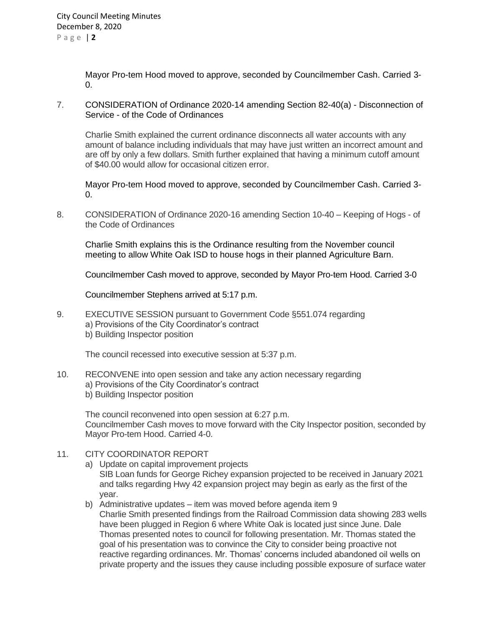Mayor Pro-tem Hood moved to approve, seconded by Councilmember Cash. Carried 3-  $\Omega$ .

7. CONSIDERATION of Ordinance 2020-14 amending Section 82-40(a) - Disconnection of Service - of the Code of Ordinances

Charlie Smith explained the current ordinance disconnects all water accounts with any amount of balance including individuals that may have just written an incorrect amount and are off by only a few dollars. Smith further explained that having a minimum cutoff amount of \$40.00 would allow for occasional citizen error.

Mayor Pro-tem Hood moved to approve, seconded by Councilmember Cash. Carried 3-  $0<sub>l</sub>$ 

8. CONSIDERATION of Ordinance 2020-16 amending Section 10-40 – Keeping of Hogs - of the Code of Ordinances

Charlie Smith explains this is the Ordinance resulting from the November council meeting to allow White Oak ISD to house hogs in their planned Agriculture Barn.

Councilmember Cash moved to approve, seconded by Mayor Pro-tem Hood. Carried 3-0

Councilmember Stephens arrived at 5:17 p.m.

9. EXECUTIVE SESSION pursuant to Government Code §551.074 regarding a) Provisions of the City Coordinator's contract b) Building Inspector position

The council recessed into executive session at 5:37 p.m.

10. RECONVENE into open session and take any action necessary regarding a) Provisions of the City Coordinator's contract b) Building Inspector position

The council reconvened into open session at 6:27 p.m. Councilmember Cash moves to move forward with the City Inspector position, seconded by Mayor Pro-tem Hood. Carried 4-0.

- 11. CITY COORDINATOR REPORT
	- a) Update on capital improvement projects SIB Loan funds for George Richey expansion projected to be received in January 2021 and talks regarding Hwy 42 expansion project may begin as early as the first of the year.
	- b) Administrative updates item was moved before agenda item 9 Charlie Smith presented findings from the Railroad Commission data showing 283 wells have been plugged in Region 6 where White Oak is located just since June. Dale Thomas presented notes to council for following presentation. Mr. Thomas stated the goal of his presentation was to convince the City to consider being proactive not reactive regarding ordinances. Mr. Thomas' concerns included abandoned oil wells on private property and the issues they cause including possible exposure of surface water